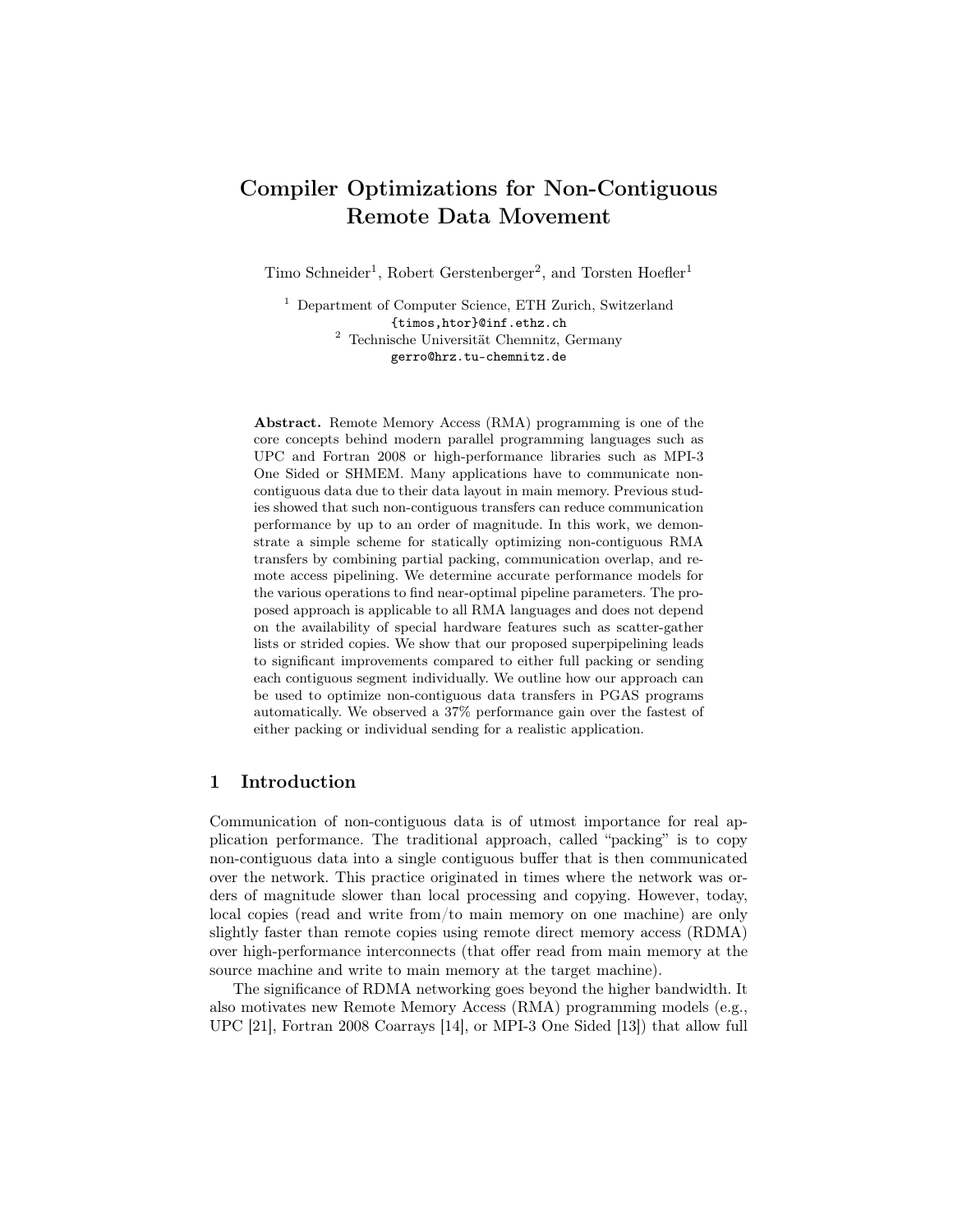# Compiler Optimizations for Non-Contiguous Remote Data Movement

Timo Schneider<sup>1</sup>, Robert Gerstenberger<sup>2</sup>, and Torsten Hoefler<sup>1</sup>

<sup>1</sup> Department of Computer Science, ETH Zurich, Switzerland {timos,htor}@inf.ethz.ch <sup>2</sup> Technische Universität Chemnitz, Germany gerro@hrz.tu-chemnitz.de

Abstract. Remote Memory Access (RMA) programming is one of the core concepts behind modern parallel programming languages such as UPC and Fortran 2008 or high-performance libraries such as MPI-3 One Sided or SHMEM. Many applications have to communicate noncontiguous data due to their data layout in main memory. Previous studies showed that such non-contiguous transfers can reduce communication performance by up to an order of magnitude. In this work, we demonstrate a simple scheme for statically optimizing non-contiguous RMA transfers by combining partial packing, communication overlap, and remote access pipelining. We determine accurate performance models for the various operations to find near-optimal pipeline parameters. The proposed approach is applicable to all RMA languages and does not depend on the availability of special hardware features such as scatter-gather lists or strided copies. We show that our proposed superpipelining leads to significant improvements compared to either full packing or sending each contiguous segment individually. We outline how our approach can be used to optimize non-contiguous data transfers in PGAS programs automatically. We observed a 37% performance gain over the fastest of either packing or individual sending for a realistic application.

## 1 Introduction

Communication of non-contiguous data is of utmost importance for real application performance. The traditional approach, called "packing" is to copy non-contiguous data into a single contiguous buffer that is then communicated over the network. This practice originated in times where the network was orders of magnitude slower than local processing and copying. However, today, local copies (read and write from/to main memory on one machine) are only slightly faster than remote copies using remote direct memory access (RDMA) over high-performance interconnects (that offer read from main memory at the source machine and write to main memory at the target machine).

The significance of RDMA networking goes beyond the higher bandwidth. It also motivates new Remote Memory Access (RMA) programming models (e.g., UPC [21], Fortran 2008 Coarrays [14], or MPI-3 One Sided [13]) that allow full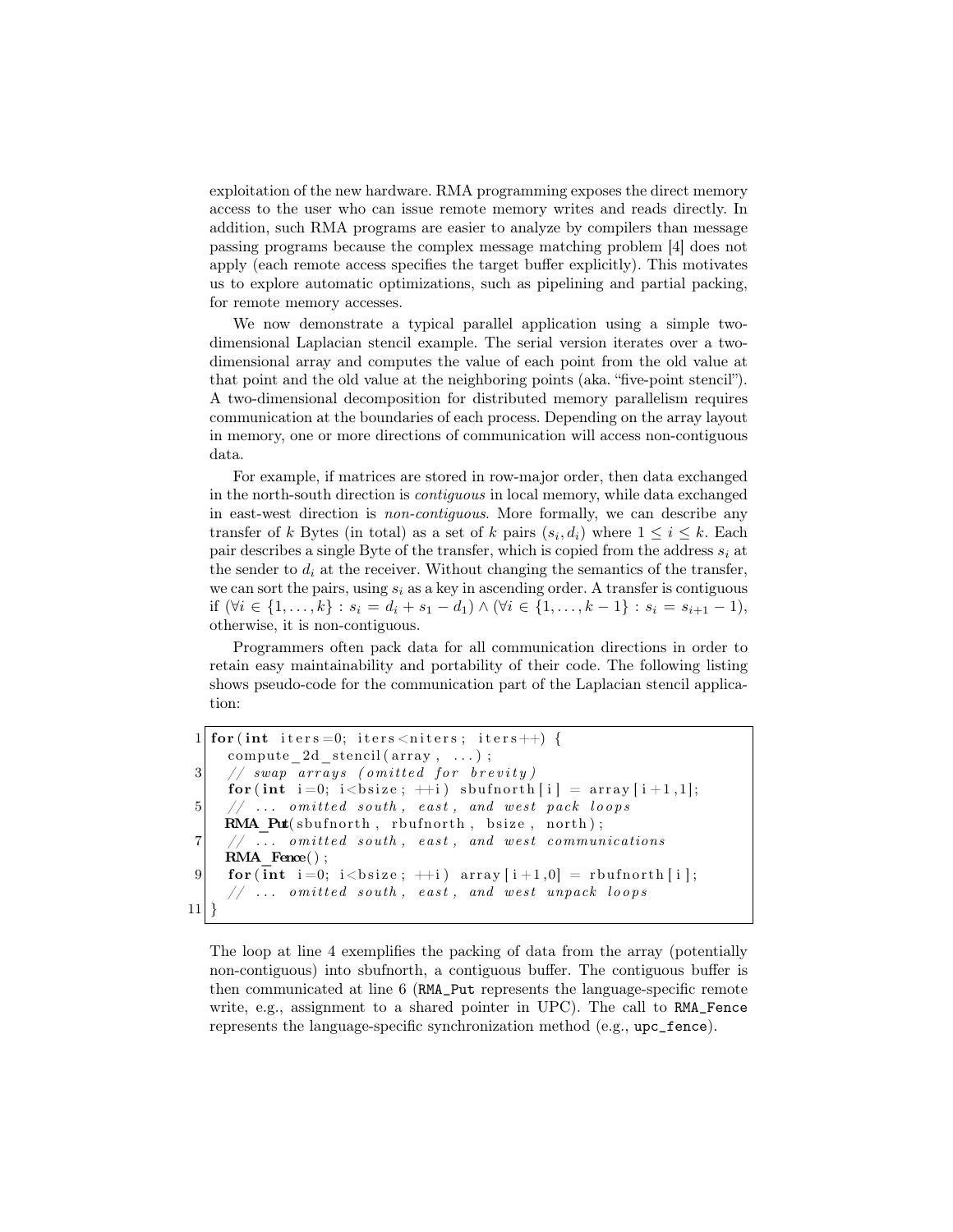exploitation of the new hardware. RMA programming exposes the direct memory access to the user who can issue remote memory writes and reads directly. In addition, such RMA programs are easier to analyze by compilers than message passing programs because the complex message matching problem [4] does not apply (each remote access specifies the target buffer explicitly). This motivates us to explore automatic optimizations, such as pipelining and partial packing, for remote memory accesses.

We now demonstrate a typical parallel application using a simple twodimensional Laplacian stencil example. The serial version iterates over a twodimensional array and computes the value of each point from the old value at that point and the old value at the neighboring points (aka. "five-point stencil"). A two-dimensional decomposition for distributed memory parallelism requires communication at the boundaries of each process. Depending on the array layout in memory, one or more directions of communication will access non-contiguous data.

For example, if matrices are stored in row-major order, then data exchanged in the north-south direction is contiguous in local memory, while data exchanged in east-west direction is non-contiguous. More formally, we can describe any transfer of k Bytes (in total) as a set of k pairs  $(s_i, d_i)$  where  $1 \leq i \leq k$ . Each pair describes a single Byte of the transfer, which is copied from the address  $s_i$  at the sender to  $d_i$  at the receiver. Without changing the semantics of the transfer, we can sort the pairs, using  $s_i$  as a key in ascending order. A transfer is contiguous if  $(\forall i \in \{1, ..., k\} : s_i = d_i + s_1 - d_1) \land (\forall i \in \{1, ..., k-1\} : s_i = s_{i+1} - 1),$ otherwise, it is non-contiguous.

Programmers often pack data for all communication directions in order to retain easy maintainability and portability of their code. The following listing shows pseudo-code for the communication part of the Laplacian stencil application:

```
1 \mid for (int iters = 0; iters < niters; iters ++) {
     compute 2d stencil (array , \ldots);
3 \mid // swap arrays (omitted for brevity)
     for (int i=0; i<br/>bsize; +i) sbufnorth [i] = array[i+1,1];5 \mid // ... omitted south, east, and west pack loops
    RMA Put( sbu fn or th, rbu fn or th, bsize, north);
7 \mid \quad ... omitted south, east, and west communications
    RMA Fence();
9 for (int i=0; i<br/>bsize; \pm i) array [i+1,0] = rbufnorth [i];
     // ... omitted south, east, and west unpack loops11}
```
The loop at line 4 exemplifies the packing of data from the array (potentially non-contiguous) into sbufnorth, a contiguous buffer. The contiguous buffer is then communicated at line 6 (RMA\_Put represents the language-specific remote write, e.g., assignment to a shared pointer in UPC). The call to RMA\_Fence represents the language-specific synchronization method (e.g., upc\_fence).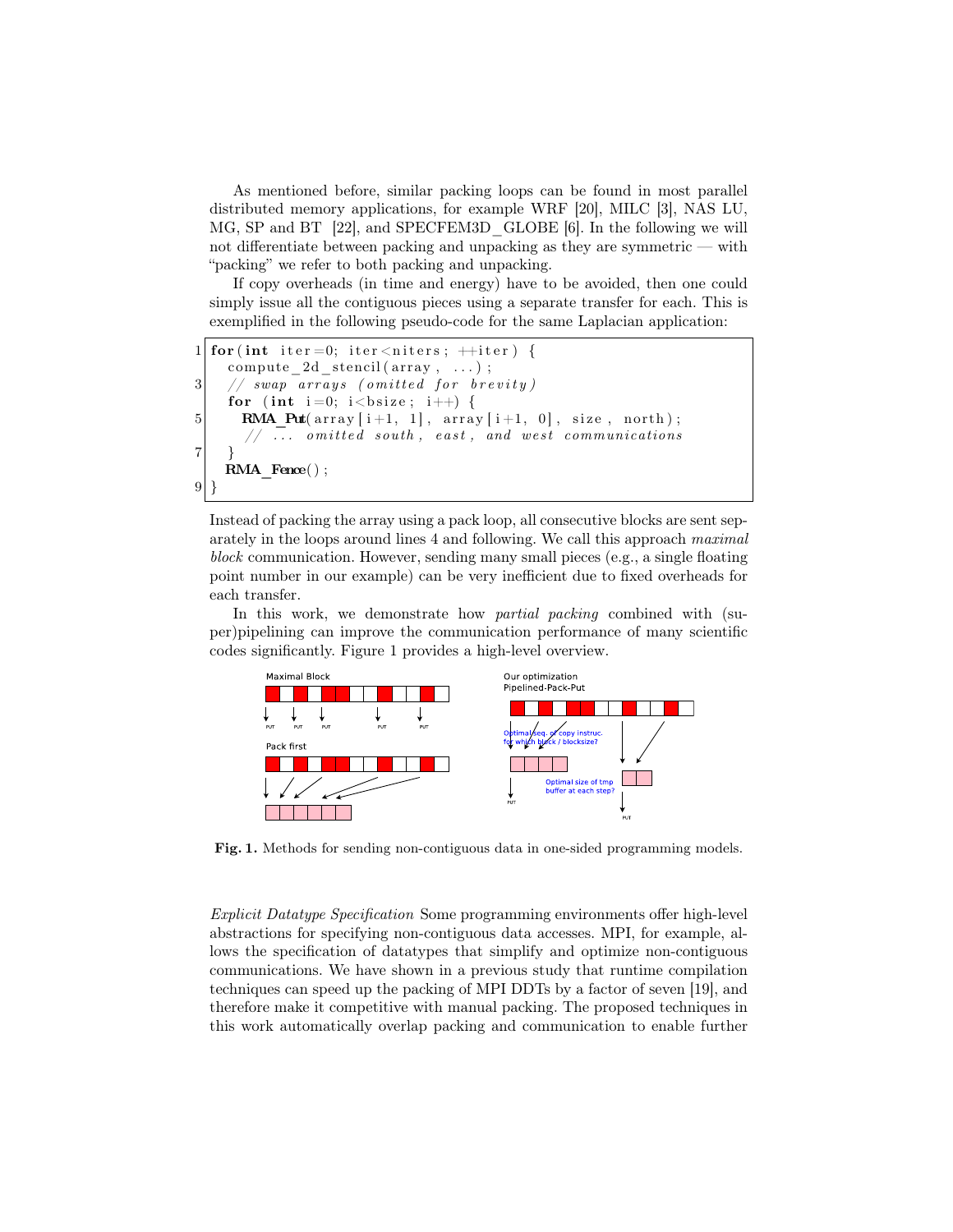As mentioned before, similar packing loops can be found in most parallel distributed memory applications, for example WRF [20], MILC [3], NAS LU, MG, SP and BT [22], and SPECFEM3D\_GLOBE [6]. In the following we will not differentiate between packing and unpacking as they are symmetric — with "packing" we refer to both packing and unpacking.

If copy overheads (in time and energy) have to be avoided, then one could simply issue all the contiguous pieces using a separate transfer for each. This is exemplified in the following pseudo-code for the same Laplacian application:

```
1 \vert for (int iter=0; iter <niters; \vert +iter) {
    compute 2d stencil (array , \ldots );
3 \vert // swap arrays (omitted for brevity)
    for (int i=0; i<br/>bsize; i++) {
5 RMA_Put(array[i+1, 1], array[i+1, 0], size, north);
          \overline{\ldots} omitted south, east, and west communications
\overline{7}RMA Fence();
9| }
```
Instead of packing the array using a pack loop, all consecutive blocks are sent separately in the loops around lines 4 and following. We call this approach maximal block communication. However, sending many small pieces (e.g., a single floating point number in our example) can be very inefficient due to fixed overheads for each transfer.

In this work, we demonstrate how *partial packing* combined with (super)pipelining can improve the communication performance of many scientific codes significantly. Figure 1 provides a high-level overview.



Fig. 1. Methods for sending non-contiguous data in one-sided programming models.

Explicit Datatype Specification Some programming environments offer high-level abstractions for specifying non-contiguous data accesses. MPI, for example, allows the specification of datatypes that simplify and optimize non-contiguous communications. We have shown in a previous study that runtime compilation techniques can speed up the packing of MPI DDTs by a factor of seven [19], and therefore make it competitive with manual packing. The proposed techniques in this work automatically overlap packing and communication to enable further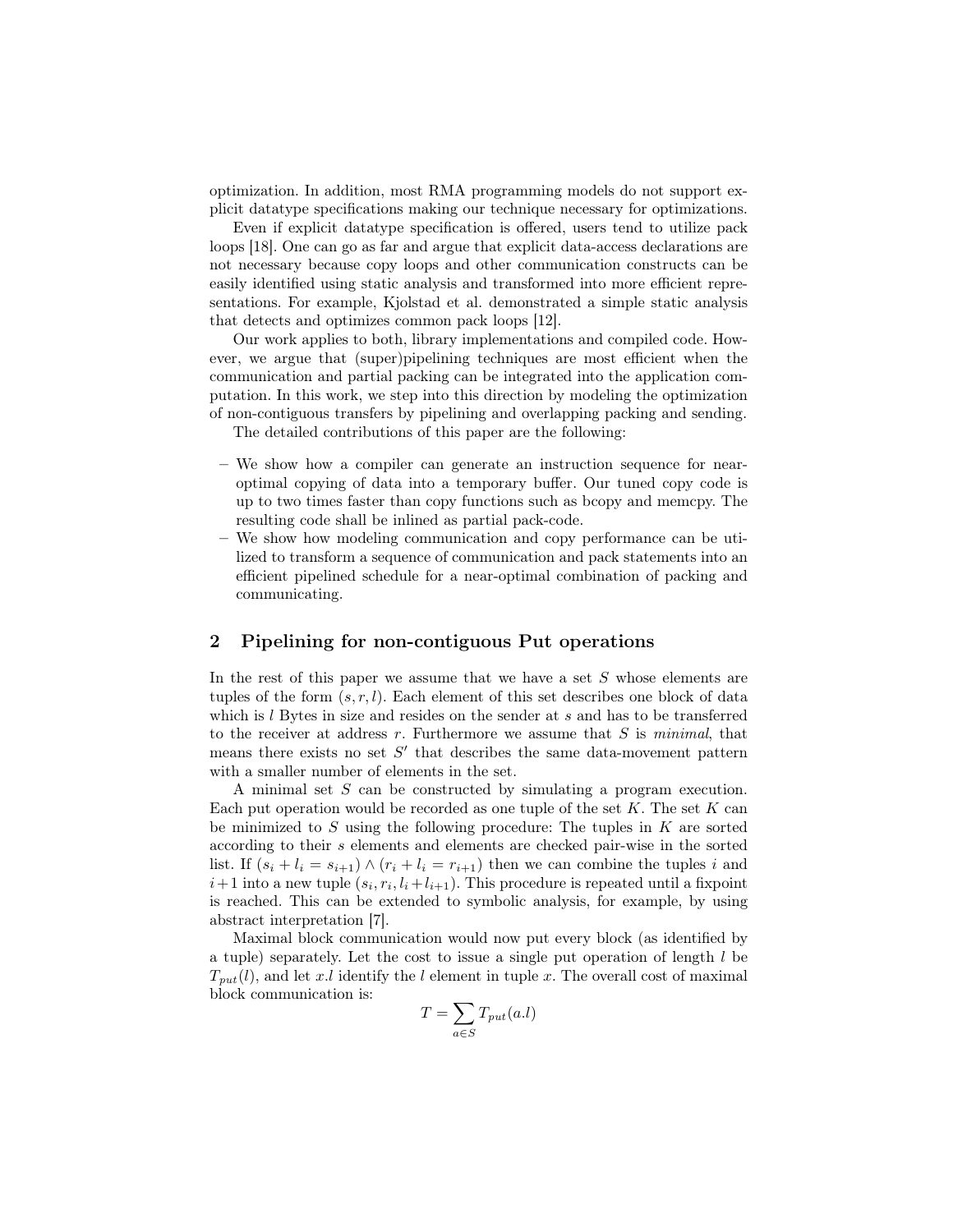optimization. In addition, most RMA programming models do not support explicit datatype specifications making our technique necessary for optimizations.

Even if explicit datatype specification is offered, users tend to utilize pack loops [18]. One can go as far and argue that explicit data-access declarations are not necessary because copy loops and other communication constructs can be easily identified using static analysis and transformed into more efficient representations. For example, Kjolstad et al. demonstrated a simple static analysis that detects and optimizes common pack loops [12].

Our work applies to both, library implementations and compiled code. However, we argue that (super)pipelining techniques are most efficient when the communication and partial packing can be integrated into the application computation. In this work, we step into this direction by modeling the optimization of non-contiguous transfers by pipelining and overlapping packing and sending.

The detailed contributions of this paper are the following:

- We show how a compiler can generate an instruction sequence for nearoptimal copying of data into a temporary buffer. Our tuned copy code is up to two times faster than copy functions such as bcopy and memcpy. The resulting code shall be inlined as partial pack-code.
- We show how modeling communication and copy performance can be utilized to transform a sequence of communication and pack statements into an efficient pipelined schedule for a near-optimal combination of packing and communicating.

## 2 Pipelining for non-contiguous Put operations

In the rest of this paper we assume that we have a set  $S$  whose elements are tuples of the form  $(s, r, l)$ . Each element of this set describes one block of data which is l Bytes in size and resides on the sender at s and has to be transferred to the receiver at address  $r$ . Furthermore we assume that  $S$  is *minimal*, that means there exists no set  $S'$  that describes the same data-movement pattern with a smaller number of elements in the set.

A minimal set S can be constructed by simulating a program execution. Each put operation would be recorded as one tuple of the set K. The set K can be minimized to  $S$  using the following procedure: The tuples in  $K$  are sorted according to their s elements and elements are checked pair-wise in the sorted list. If  $(s_i + l_i = s_{i+1}) \wedge (r_i + l_i = r_{i+1})$  then we can combine the tuples i and  $i+1$  into a new tuple  $(s_i, r_i, l_i + l_{i+1})$ . This procedure is repeated until a fixpoint is reached. This can be extended to symbolic analysis, for example, by using abstract interpretation [7].

Maximal block communication would now put every block (as identified by a tuple) separately. Let the cost to issue a single put operation of length l be  $T_{put}(l)$ , and let x.l identify the l element in tuple x. The overall cost of maximal block communication is:

$$
T = \sum_{a \in S} T_{put}(a.l)
$$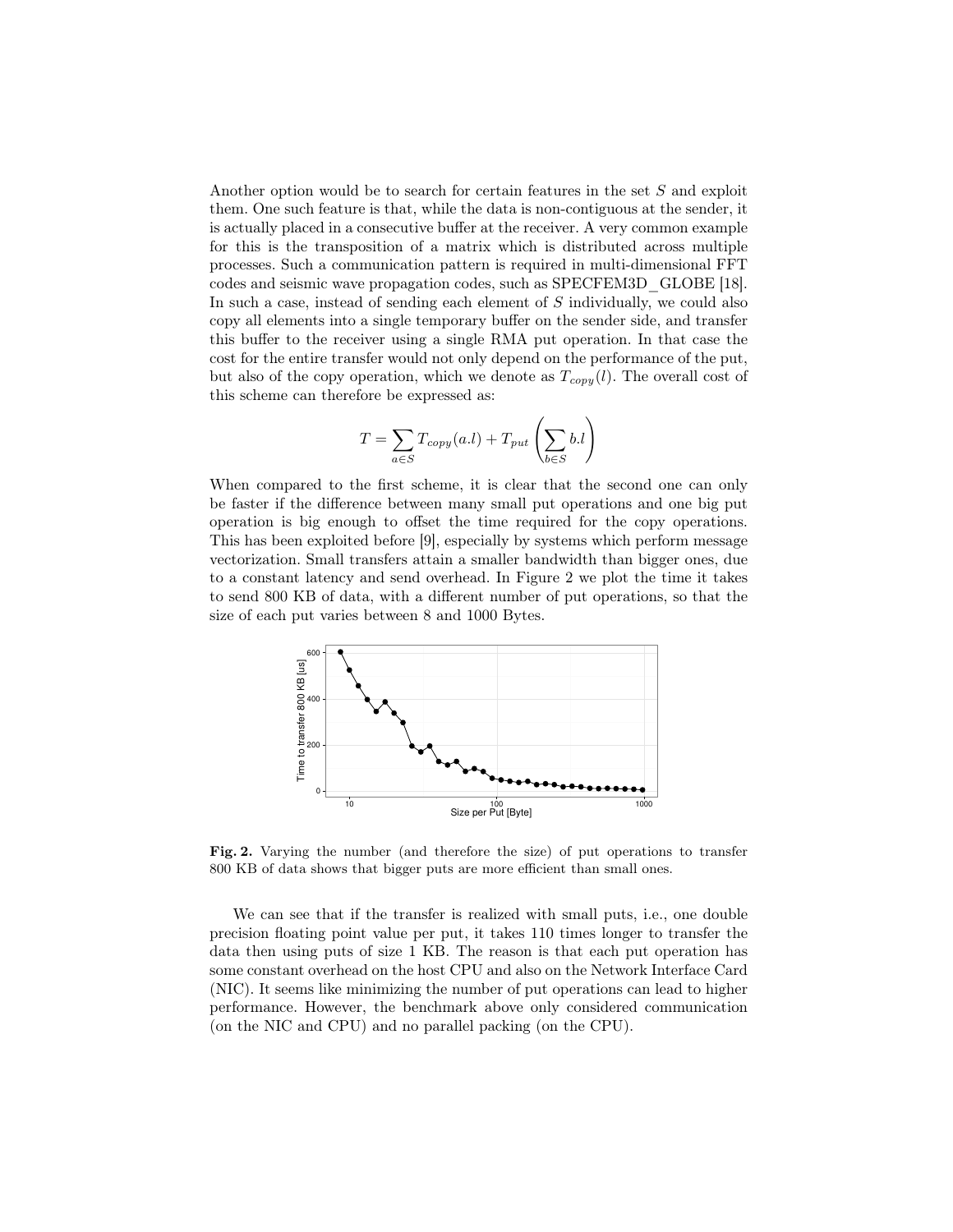Another option would be to search for certain features in the set S and exploit them. One such feature is that, while the data is non-contiguous at the sender, it is actually placed in a consecutive buffer at the receiver. A very common example for this is the transposition of a matrix which is distributed across multiple processes. Such a communication pattern is required in multi-dimensional FFT codes and seismic wave propagation codes, such as SPECFEM3D\_GLOBE [18]. In such a case, instead of sending each element of S individually, we could also copy all elements into a single temporary buffer on the sender side, and transfer this buffer to the receiver using a single RMA put operation. In that case the cost for the entire transfer would not only depend on the performance of the put, but also of the copy operation, which we denote as  $T_{copy}(l)$ . The overall cost of this scheme can therefore be expressed as:

$$
T = \sum_{a \in S} T_{copy}(a.l) + T_{put} \left( \sum_{b \in S} b.l \right)
$$

When compared to the first scheme, it is clear that the second one can only be faster if the difference between many small put operations and one big put operation is big enough to offset the time required for the copy operations. This has been exploited before [9], especially by systems which perform message vectorization. Small transfers attain a smaller bandwidth than bigger ones, due to a constant latency and send overhead. In Figure 2 we plot the time it takes to send 800 KB of data, with a different number of put operations, so that the size of each put varies between 8 and 1000 Bytes.



Fig. 2. Varying the number (and therefore the size) of put operations to transfer 800 KB of data shows that bigger puts are more efficient than small ones.

We can see that if the transfer is realized with small puts, i.e., one double precision floating point value per put, it takes 110 times longer to transfer the data then using puts of size 1 KB. The reason is that each put operation has some constant overhead on the host CPU and also on the Network Interface Card (NIC). It seems like minimizing the number of put operations can lead to higher performance. However, the benchmark above only considered communication (on the NIC and CPU) and no parallel packing (on the CPU).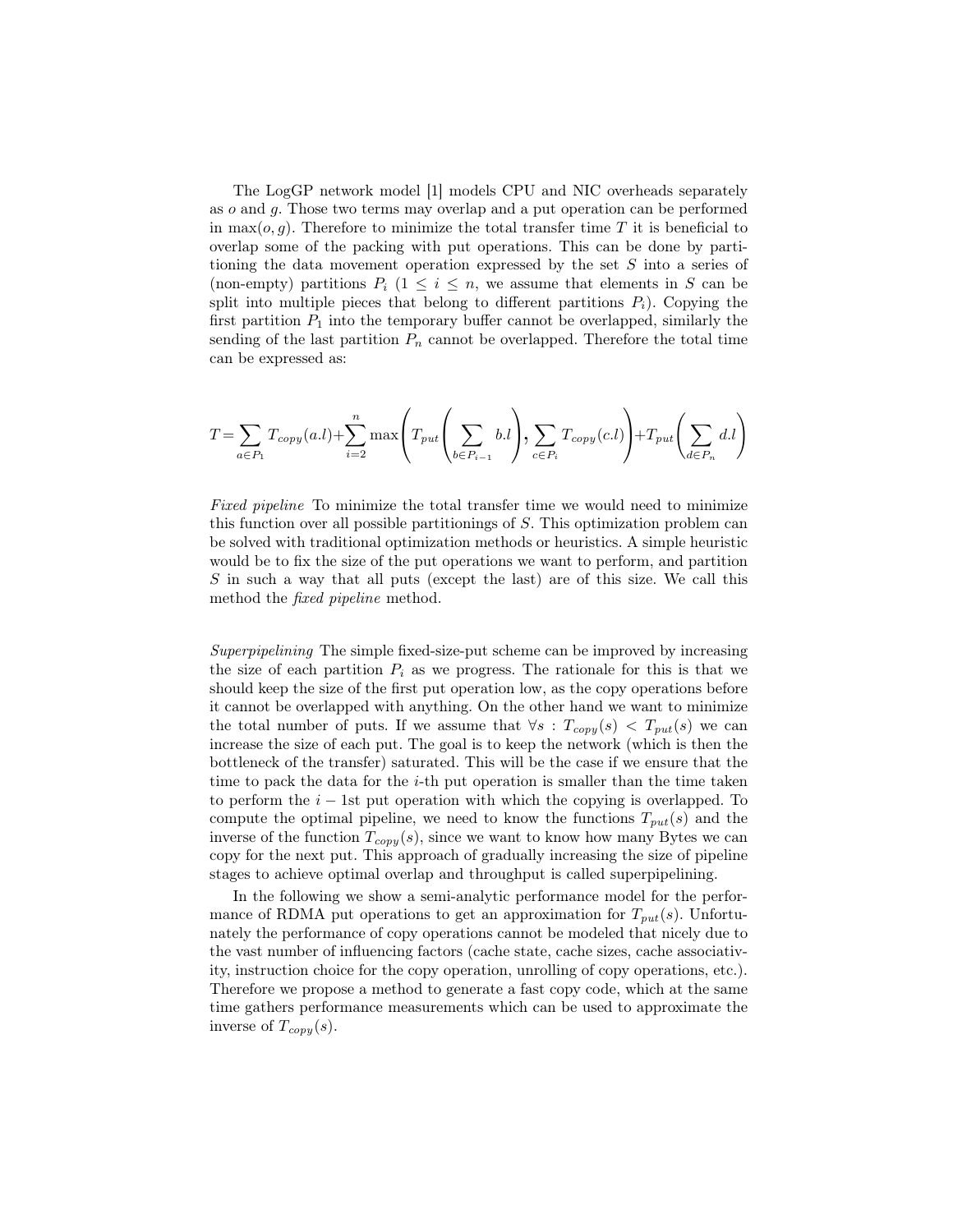The LogGP network model [1] models CPU and NIC overheads separately as o and g. Those two terms may overlap and a put operation can be performed in max $(o, g)$ . Therefore to minimize the total transfer time T it is beneficial to overlap some of the packing with put operations. This can be done by partitioning the data movement operation expressed by the set S into a series of (non-empty) partitions  $P_i$   $(1 \leq i \leq n$ , we assume that elements in S can be split into multiple pieces that belong to different partitions  $P_i$ ). Copying the first partition  $P_1$  into the temporary buffer cannot be overlapped, similarly the sending of the last partition  $P_n$  cannot be overlapped. Therefore the total time can be expressed as:

$$
T = \sum_{a \in P_1} T_{copy}(a.l) + \sum_{i=2}^n \max\left(T_{put}\left(\sum_{b \in P_{i-1}} b.l\right), \sum_{c \in P_i} T_{copy}(c.l)\right) + T_{put}\left(\sum_{d \in P_n} d.l\right)
$$

Fixed pipeline To minimize the total transfer time we would need to minimize this function over all possible partitionings of S. This optimization problem can be solved with traditional optimization methods or heuristics. A simple heuristic would be to fix the size of the put operations we want to perform, and partition S in such a way that all puts (except the last) are of this size. We call this method the fixed pipeline method.

Superpipelining The simple fixed-size-put scheme can be improved by increasing the size of each partition  $P_i$  as we progress. The rationale for this is that we should keep the size of the first put operation low, as the copy operations before it cannot be overlapped with anything. On the other hand we want to minimize the total number of puts. If we assume that  $\forall s : T_{copy}(s) < T_{put}(s)$  we can increase the size of each put. The goal is to keep the network (which is then the bottleneck of the transfer) saturated. This will be the case if we ensure that the time to pack the data for the  $i$ -th put operation is smaller than the time taken to perform the  $i - 1$ st put operation with which the copying is overlapped. To compute the optimal pipeline, we need to know the functions  $T_{put}(s)$  and the inverse of the function  $T_{copy}(s)$ , since we want to know how many Bytes we can copy for the next put. This approach of gradually increasing the size of pipeline stages to achieve optimal overlap and throughput is called superpipelining.

In the following we show a semi-analytic performance model for the performance of RDMA put operations to get an approximation for  $T_{put}(s)$ . Unfortunately the performance of copy operations cannot be modeled that nicely due to the vast number of influencing factors (cache state, cache sizes, cache associativity, instruction choice for the copy operation, unrolling of copy operations, etc.). Therefore we propose a method to generate a fast copy code, which at the same time gathers performance measurements which can be used to approximate the inverse of  $T_{copy}(s)$ .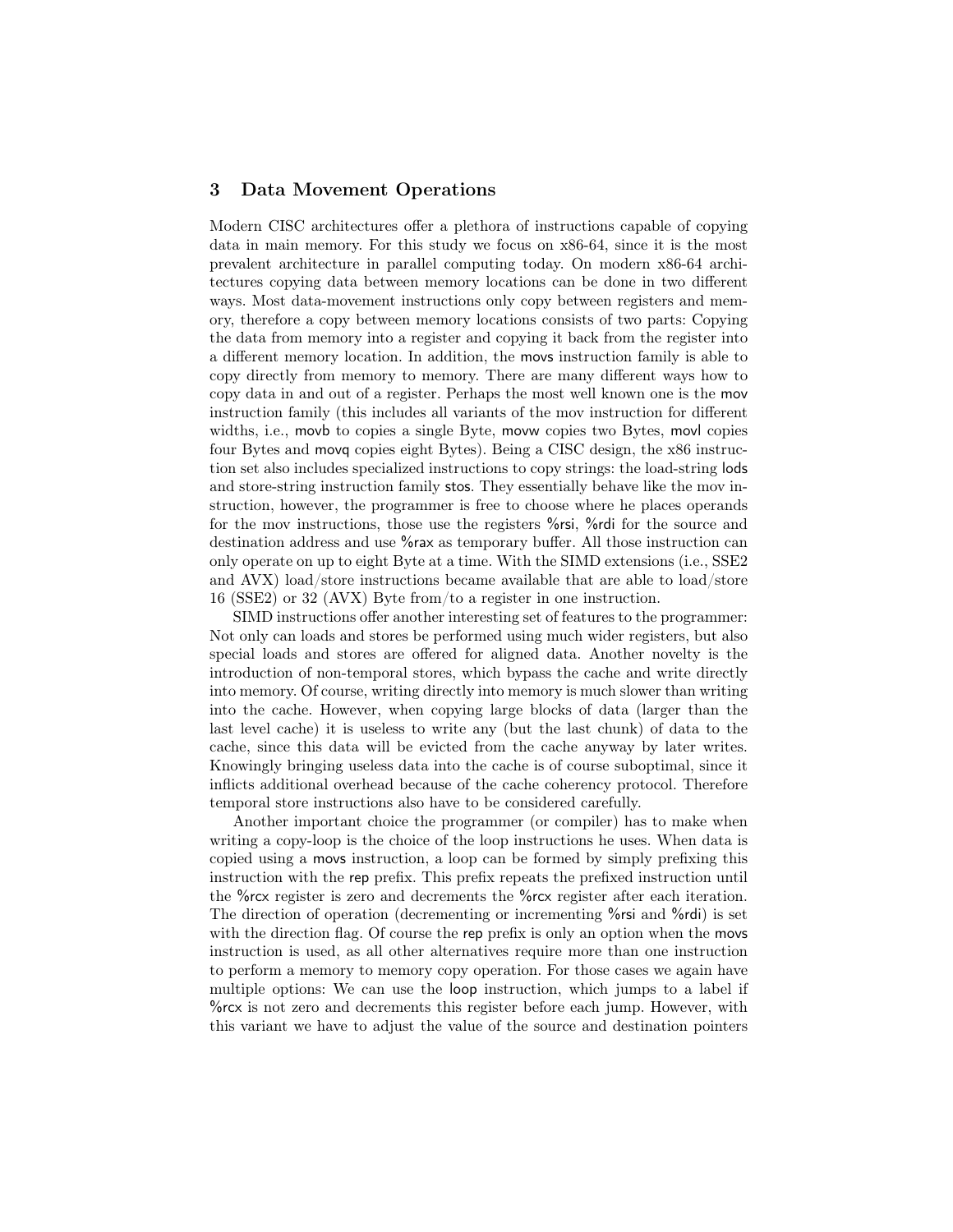## 3 Data Movement Operations

Modern CISC architectures offer a plethora of instructions capable of copying data in main memory. For this study we focus on x86-64, since it is the most prevalent architecture in parallel computing today. On modern x86-64 architectures copying data between memory locations can be done in two different ways. Most data-movement instructions only copy between registers and memory, therefore a copy between memory locations consists of two parts: Copying the data from memory into a register and copying it back from the register into a different memory location. In addition, the movs instruction family is able to copy directly from memory to memory. There are many different ways how to copy data in and out of a register. Perhaps the most well known one is the mov instruction family (this includes all variants of the mov instruction for different widths, i.e., movb to copies a single Byte, movw copies two Bytes, movl copies four Bytes and movq copies eight Bytes). Being a CISC design, the x86 instruction set also includes specialized instructions to copy strings: the load-string lods and store-string instruction family stos. They essentially behave like the mov instruction, however, the programmer is free to choose where he places operands for the mov instructions, those use the registers %rsi, %rdi for the source and destination address and use %rax as temporary buffer. All those instruction can only operate on up to eight Byte at a time. With the SIMD extensions (i.e., SSE2 and AVX) load/store instructions became available that are able to load/store 16 (SSE2) or 32 (AVX) Byte from/to a register in one instruction.

SIMD instructions offer another interesting set of features to the programmer: Not only can loads and stores be performed using much wider registers, but also special loads and stores are offered for aligned data. Another novelty is the introduction of non-temporal stores, which bypass the cache and write directly into memory. Of course, writing directly into memory is much slower than writing into the cache. However, when copying large blocks of data (larger than the last level cache) it is useless to write any (but the last chunk) of data to the cache, since this data will be evicted from the cache anyway by later writes. Knowingly bringing useless data into the cache is of course suboptimal, since it inflicts additional overhead because of the cache coherency protocol. Therefore temporal store instructions also have to be considered carefully.

Another important choice the programmer (or compiler) has to make when writing a copy-loop is the choice of the loop instructions he uses. When data is copied using a movs instruction, a loop can be formed by simply prefixing this instruction with the rep prefix. This prefix repeats the prefixed instruction until the %rcx register is zero and decrements the %rcx register after each iteration. The direction of operation (decrementing or incrementing %rsi and %rdi) is set with the direction flag. Of course the rep prefix is only an option when the movs instruction is used, as all other alternatives require more than one instruction to perform a memory to memory copy operation. For those cases we again have multiple options: We can use the loop instruction, which jumps to a label if %rcx is not zero and decrements this register before each jump. However, with this variant we have to adjust the value of the source and destination pointers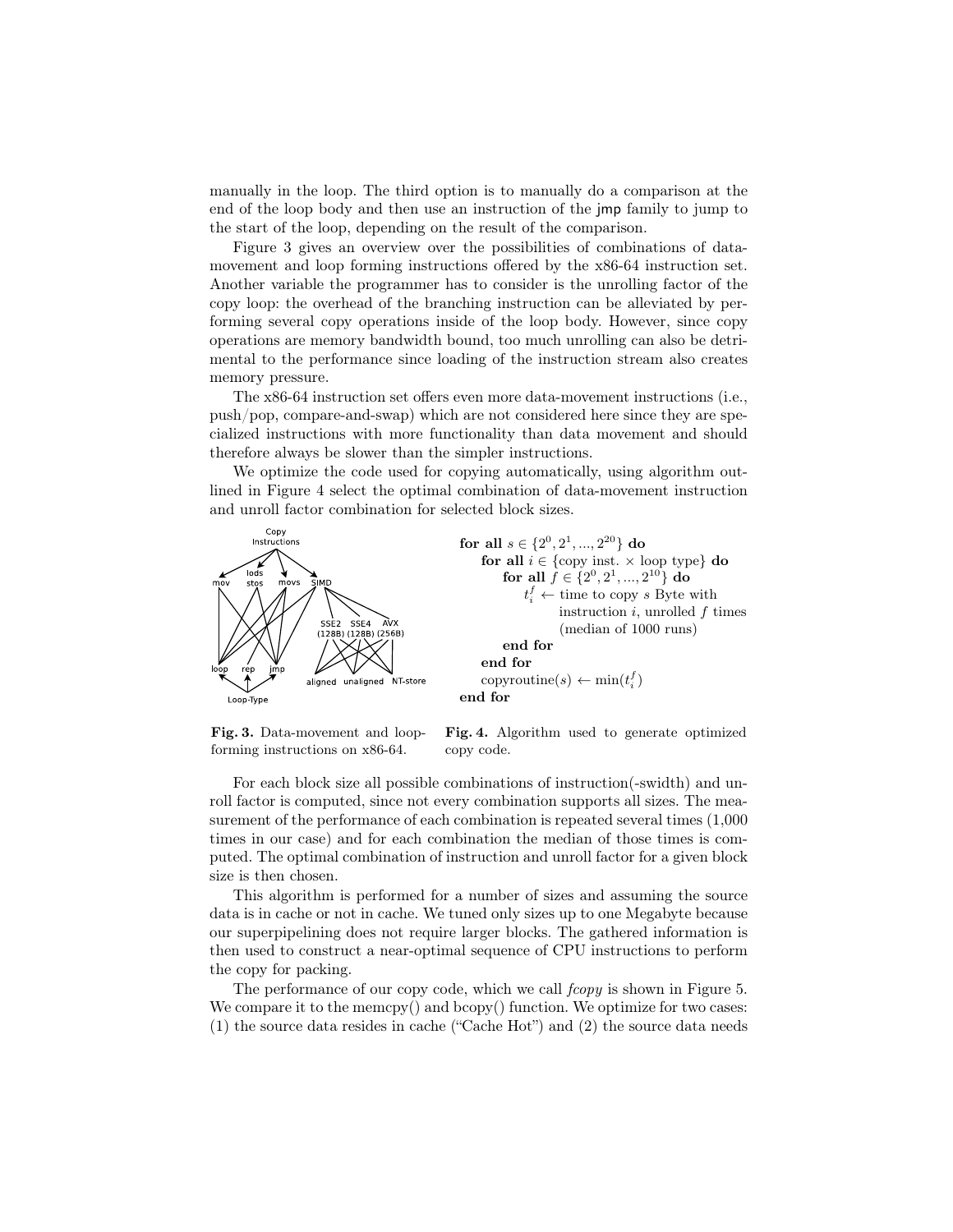manually in the loop. The third option is to manually do a comparison at the end of the loop body and then use an instruction of the jmp family to jump to the start of the loop, depending on the result of the comparison.

Figure 3 gives an overview over the possibilities of combinations of datamovement and loop forming instructions offered by the x86-64 instruction set. Another variable the programmer has to consider is the unrolling factor of the copy loop: the overhead of the branching instruction can be alleviated by performing several copy operations inside of the loop body. However, since copy operations are memory bandwidth bound, too much unrolling can also be detrimental to the performance since loading of the instruction stream also creates memory pressure.

The x86-64 instruction set offers even more data-movement instructions (i.e., push/pop, compare-and-swap) which are not considered here since they are specialized instructions with more functionality than data movement and should therefore always be slower than the simpler instructions.

We optimize the code used for copying automatically, using algorithm outlined in Figure 4 select the optimal combination of data-movement instruction and unroll factor combination for selected block sizes.



Fig. 3. Data-movement and loopforming instructions on x86-64.

Fig. 4. Algorithm used to generate optimized copy code.

For each block size all possible combinations of instruction(-swidth) and unroll factor is computed, since not every combination supports all sizes. The measurement of the performance of each combination is repeated several times (1,000 times in our case) and for each combination the median of those times is computed. The optimal combination of instruction and unroll factor for a given block size is then chosen.

This algorithm is performed for a number of sizes and assuming the source data is in cache or not in cache. We tuned only sizes up to one Megabyte because our superpipelining does not require larger blocks. The gathered information is then used to construct a near-optimal sequence of CPU instructions to perform the copy for packing.

The performance of our copy code, which we call  $f_{copy}$  is shown in Figure 5. We compare it to the memcpy() and bcopy() function. We optimize for two cases: (1) the source data resides in cache ("Cache Hot") and (2) the source data needs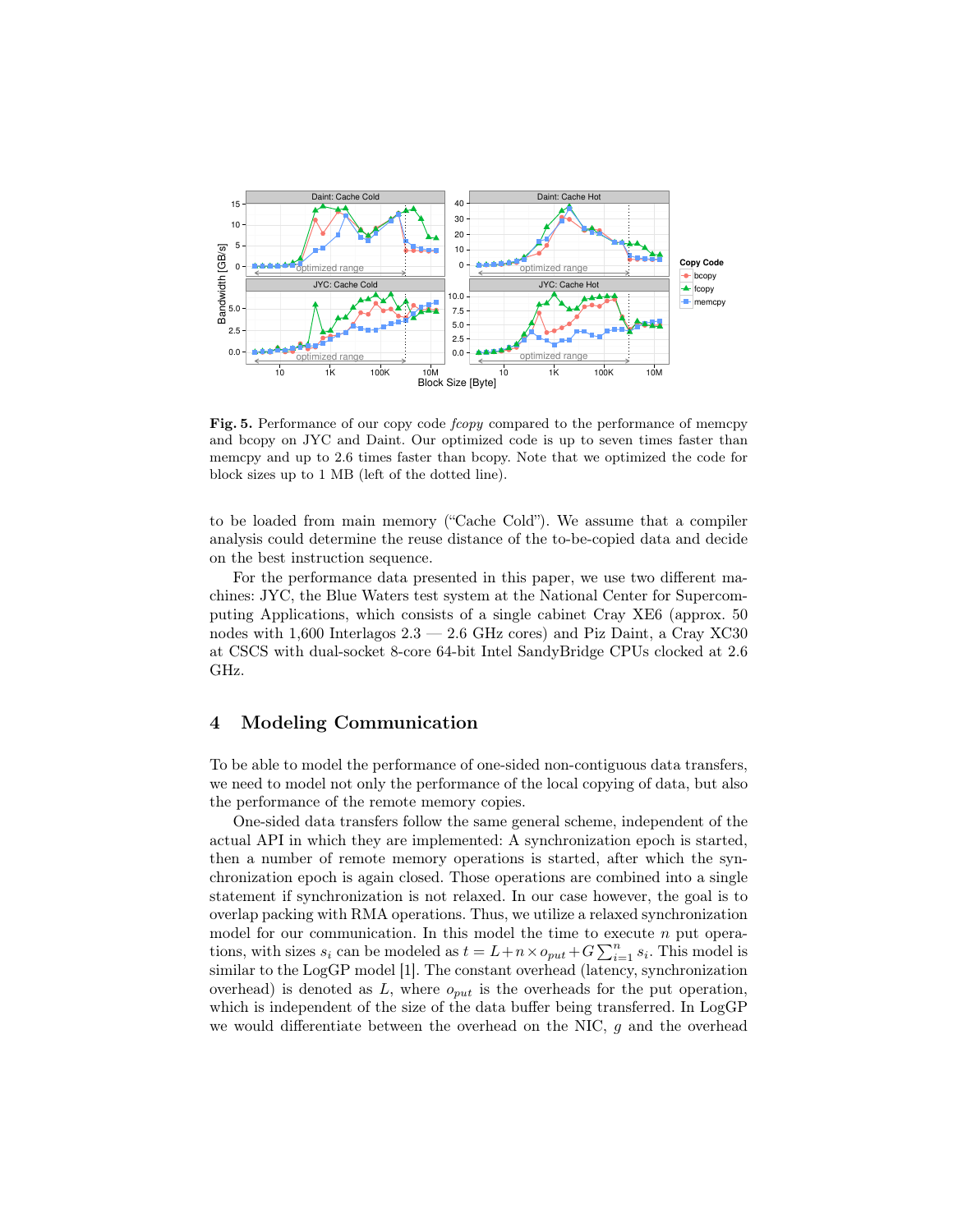

Fig. 5. Performance of our copy code *fcopy* compared to the performance of memcpy and bcopy on JYC and Daint. Our optimized code is up to seven times faster than memcpy and up to 2.6 times faster than bcopy. Note that we optimized the code for block sizes up to 1 MB (left of the dotted line).

to be loaded from main memory ("Cache Cold"). We assume that a compiler analysis could determine the reuse distance of the to-be-copied data and decide on the best instruction sequence.

For the performance data presented in this paper, we use two different machines: JYC, the Blue Waters test system at the National Center for Supercomputing Applications, which consists of a single cabinet Cray XE6 (approx. 50 nodes with  $1,600$  Interlagos  $2.3 - 2.6$  GHz cores) and Piz Daint, a Cray XC30 at CSCS with dual-socket 8-core 64-bit Intel SandyBridge CPUs clocked at 2.6 GHz.

## 4 Modeling Communication

To be able to model the performance of one-sided non-contiguous data transfers, we need to model not only the performance of the local copying of data, but also the performance of the remote memory copies.

One-sided data transfers follow the same general scheme, independent of the actual API in which they are implemented: A synchronization epoch is started, then a number of remote memory operations is started, after which the synchronization epoch is again closed. Those operations are combined into a single statement if synchronization is not relaxed. In our case however, the goal is to overlap packing with RMA operations. Thus, we utilize a relaxed synchronization model for our communication. In this model the time to execute  $n$  put operations, with sizes  $s_i$  can be modeled as  $t = L + n \times o_{put} + G \sum_{i=1}^n s_i$ . This model is similar to the LogGP model [1]. The constant overhead (latency, synchronization overhead) is denoted as  $L$ , where  $o_{put}$  is the overheads for the put operation, which is independent of the size of the data buffer being transferred. In LogGP we would differentiate between the overhead on the NIC,  $g$  and the overhead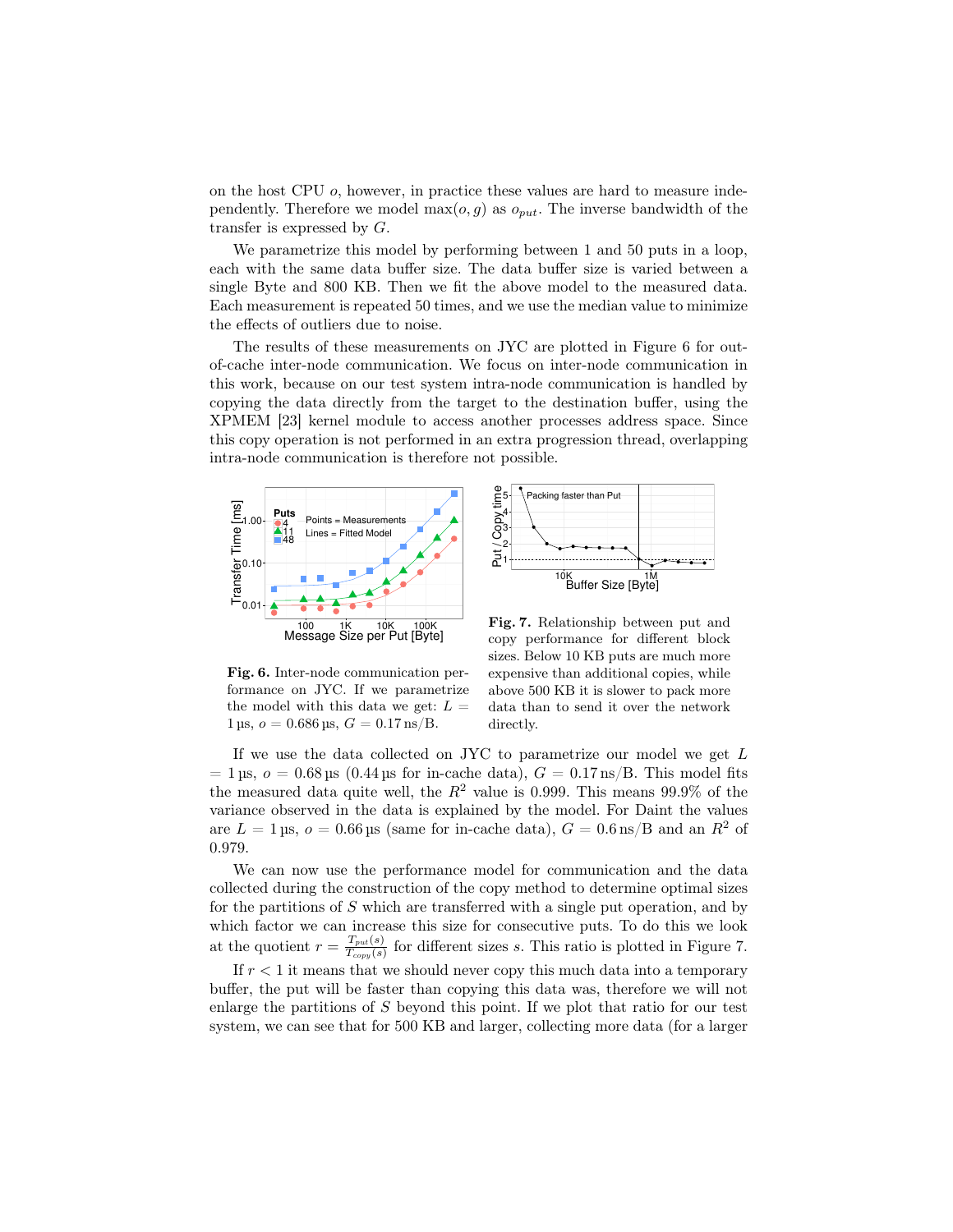on the host CPU  $\sigma$ , however, in practice these values are hard to measure independently. Therefore we model  $\max(o, g)$  as  $o_{put}$ . The inverse bandwidth of the transfer is expressed by G.

We parametrize this model by performing between 1 and 50 puts in a loop, each with the same data buffer size. The data buffer size is varied between a single Byte and 800 KB. Then we fit the above model to the measured data. Each measurement is repeated 50 times, and we use the median value to minimize the effects of outliers due to noise.

The results of these measurements on JYC are plotted in Figure 6 for outof-cache inter-node communication. We focus on inter-node communication in this work, because on our test system intra-node communication is handled by copying the data directly from the target to the destination buffer, using the XPMEM [23] kernel module to access another processes address space. Since this copy operation is not performed in an extra progression thread, overlapping intra-node communication is therefore not possible.



Fig. 6. Inter-node communication performance on JYC. If we parametrize the model with this data we get:  $L =$  $1 \,\text{\upmu s}, o = 0.686 \,\text{\upmu s}, G = 0.17 \,\text{\upmu s}/\text{B}.$ 



Fig. 7. Relationship between put and copy performance for different block sizes. Below 10 KB puts are much more expensive than additional copies, while above 500 KB it is slower to pack more data than to send it over the network directly.

If we use the data collected on JYC to parametrize our model we get L  $= 1 \,\mu s$ ,  $\sigma = 0.68 \,\mu s$  (0.44  $\mu s$  for in-cache data),  $G = 0.17 \,\text{ns/B}$ . This model fits the measured data quite well, the  $R^2$  value is 0.999. This means 99.9% of the variance observed in the data is explained by the model. For Daint the values are  $L = 1$  us,  $o = 0.66$  us (same for in-cache data),  $G = 0.6$  ns/B and an  $R<sup>2</sup>$  of 0.979.

We can now use the performance model for communication and the data collected during the construction of the copy method to determine optimal sizes for the partitions of  $S$  which are transferred with a single put operation, and by which factor we can increase this size for consecutive puts. To do this we look at the quotient  $r = \frac{T_{put}(s)}{T_{per}(s)}$  $\frac{I_{put}(s)}{T_{copy}(s)}$  for different sizes s. This ratio is plotted in Figure 7.

If  $r < 1$  it means that we should never copy this much data into a temporary buffer, the put will be faster than copying this data was, therefore we will not enlarge the partitions of S beyond this point. If we plot that ratio for our test system, we can see that for 500 KB and larger, collecting more data (for a larger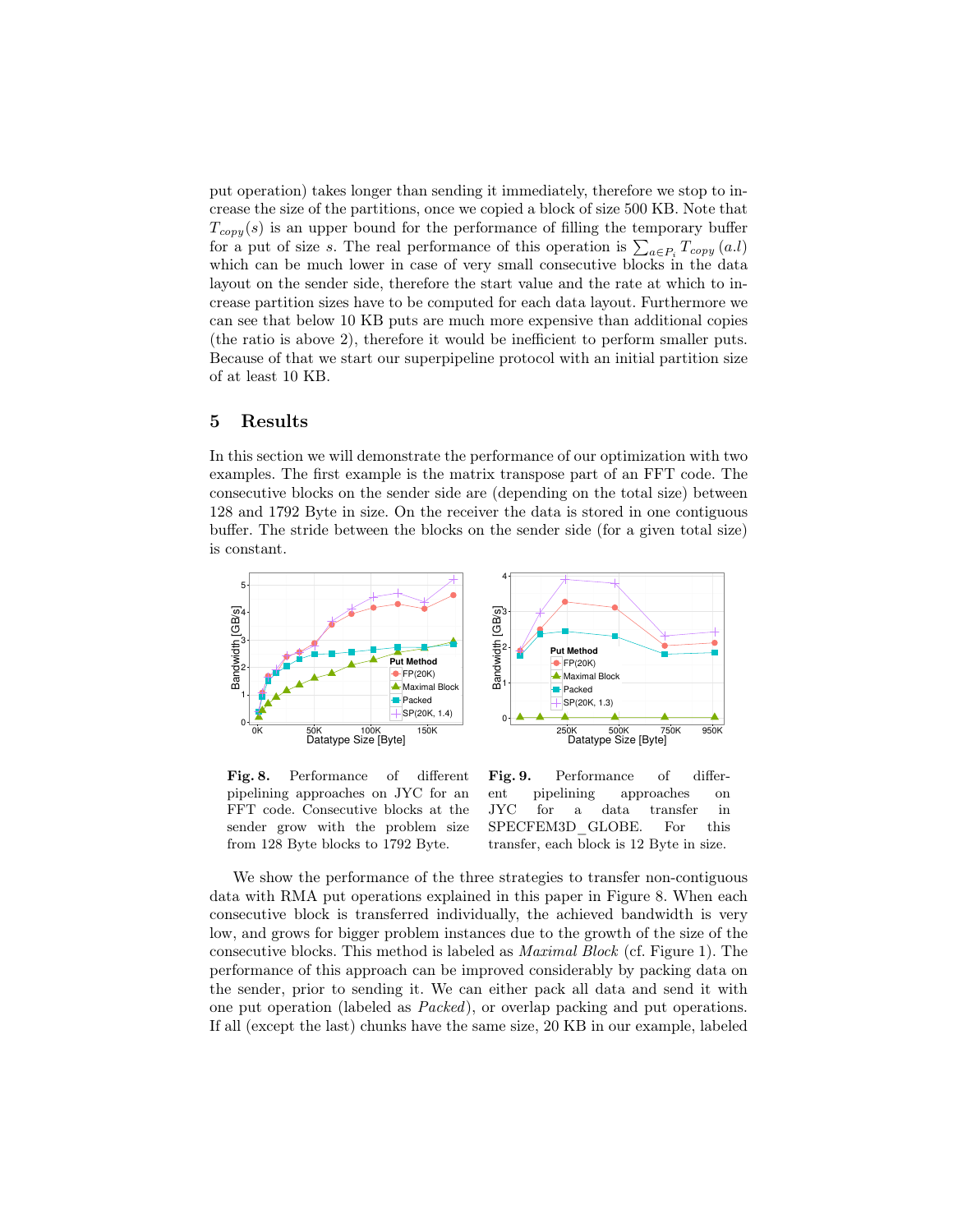put operation) takes longer than sending it immediately, therefore we stop to increase the size of the partitions, once we copied a block of size 500 KB. Note that  $T_{copy}(s)$  is an upper bound for the performance of filling the temporary buffer for a put of size s. The real performance of this operation is  $\sum_{a \in P_i} T_{copy}(a.l)$ which can be much lower in case of very small consecutive blocks in the data layout on the sender side, therefore the start value and the rate at which to increase partition sizes have to be computed for each data layout. Furthermore we can see that below 10 KB puts are much more expensive than additional copies (the ratio is above 2), therefore it would be inefficient to perform smaller puts. Because of that we start our superpipeline protocol with an initial partition size of at least 10 KB.

#### 5 Results

In this section we will demonstrate the performance of our optimization with two examples. The first example is the matrix transpose part of an FFT code. The consecutive blocks on the sender side are (depending on the total size) between 128 and 1792 Byte in size. On the receiver the data is stored in one contiguous buffer. The stride between the blocks on the sender side (for a given total size) is constant.



Fig. 8. Performance of different pipelining approaches on JYC for an FFT code. Consecutive blocks at the sender grow with the problem size from 128 Byte blocks to 1792 Byte.

Fig. 9. Performance of different pipelining approaches on JYC for a data transfer in SPECFEM3D\_GLOBE. For this transfer, each block is 12 Byte in size.

We show the performance of the three strategies to transfer non-contiguous data with RMA put operations explained in this paper in Figure 8. When each consecutive block is transferred individually, the achieved bandwidth is very low, and grows for bigger problem instances due to the growth of the size of the consecutive blocks. This method is labeled as Maximal Block (cf. Figure 1). The performance of this approach can be improved considerably by packing data on the sender, prior to sending it. We can either pack all data and send it with one put operation (labeled as Packed), or overlap packing and put operations. If all (except the last) chunks have the same size, 20 KB in our example, labeled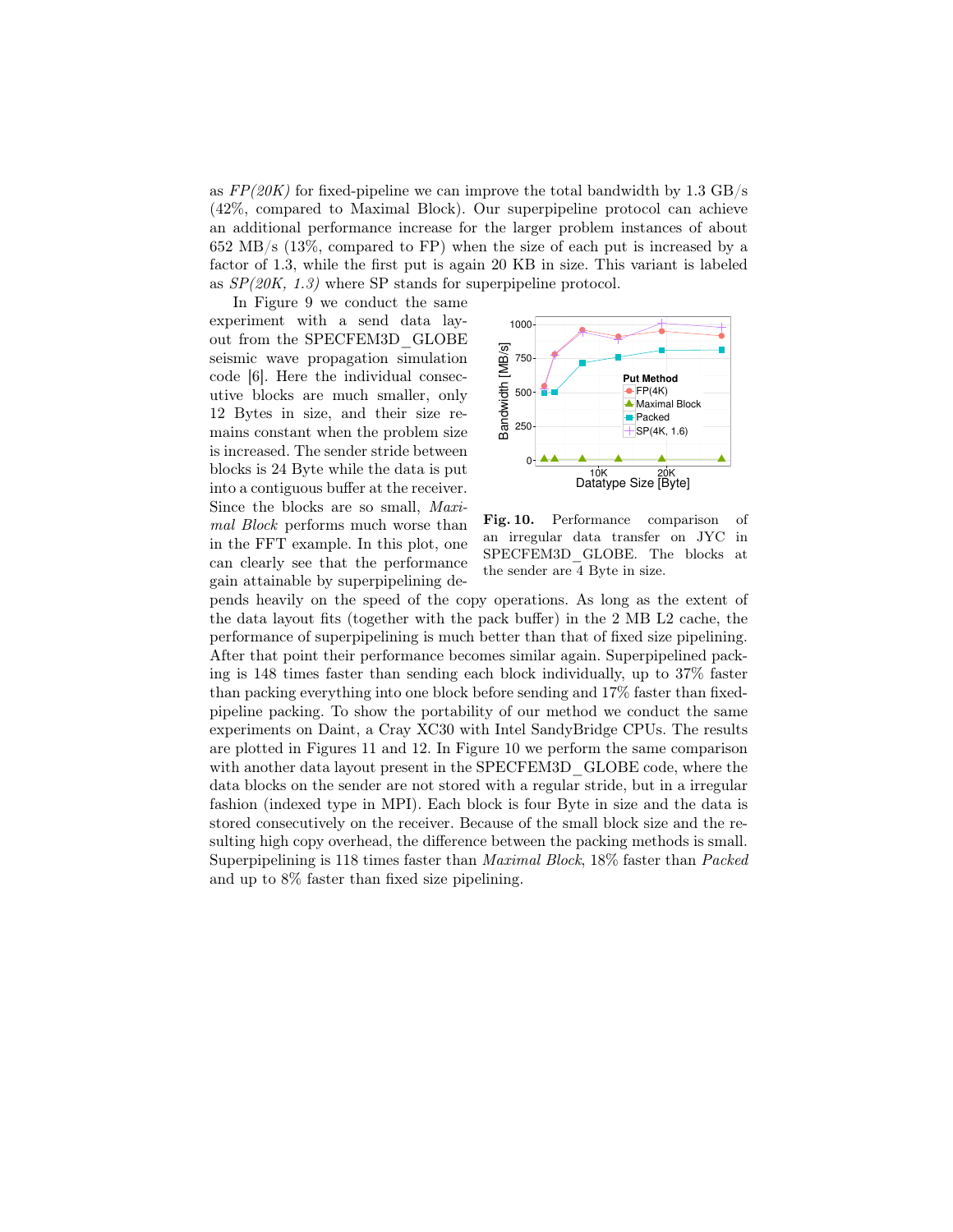as  $FP(20K)$  for fixed-pipeline we can improve the total bandwidth by 1.3 GB/s (42%, compared to Maximal Block). Our superpipeline protocol can achieve an additional performance increase for the larger problem instances of about 652 MB/s (13%, compared to FP) when the size of each put is increased by a factor of 1.3, while the first put is again 20 KB in size. This variant is labeled as  $SP(20K, 1.3)$  where SP stands for superpipeline protocol.

In Figure 9 we conduct the same experiment with a send data layout from the SPECFEM3D\_GLOBE seismic wave propagation simulation code [6]. Here the individual consecutive blocks are much smaller, only 12 Bytes in size, and their size remains constant when the problem size is increased. The sender stride between blocks is 24 Byte while the data is put into a contiguous buffer at the receiver. Since the blocks are so small, Maximal Block performs much worse than in the FFT example. In this plot, one can clearly see that the performance gain attainable by superpipelining de-



Fig. 10. Performance comparison of an irregular data transfer on JYC in SPECFEM3D\_GLOBE. The blocks at the sender are 4 Byte in size.

pends heavily on the speed of the copy operations. As long as the extent of the data layout fits (together with the pack buffer) in the 2 MB L2 cache, the performance of superpipelining is much better than that of fixed size pipelining. After that point their performance becomes similar again. Superpipelined packing is 148 times faster than sending each block individually, up to 37% faster than packing everything into one block before sending and 17% faster than fixedpipeline packing. To show the portability of our method we conduct the same experiments on Daint, a Cray XC30 with Intel SandyBridge CPUs. The results are plotted in Figures 11 and 12. In Figure 10 we perform the same comparison with another data layout present in the SPECFEM3D GLOBE code, where the data blocks on the sender are not stored with a regular stride, but in a irregular fashion (indexed type in MPI). Each block is four Byte in size and the data is stored consecutively on the receiver. Because of the small block size and the resulting high copy overhead, the difference between the packing methods is small. Superpipelining is 118 times faster than Maximal Block, 18% faster than Packed and up to 8% faster than fixed size pipelining.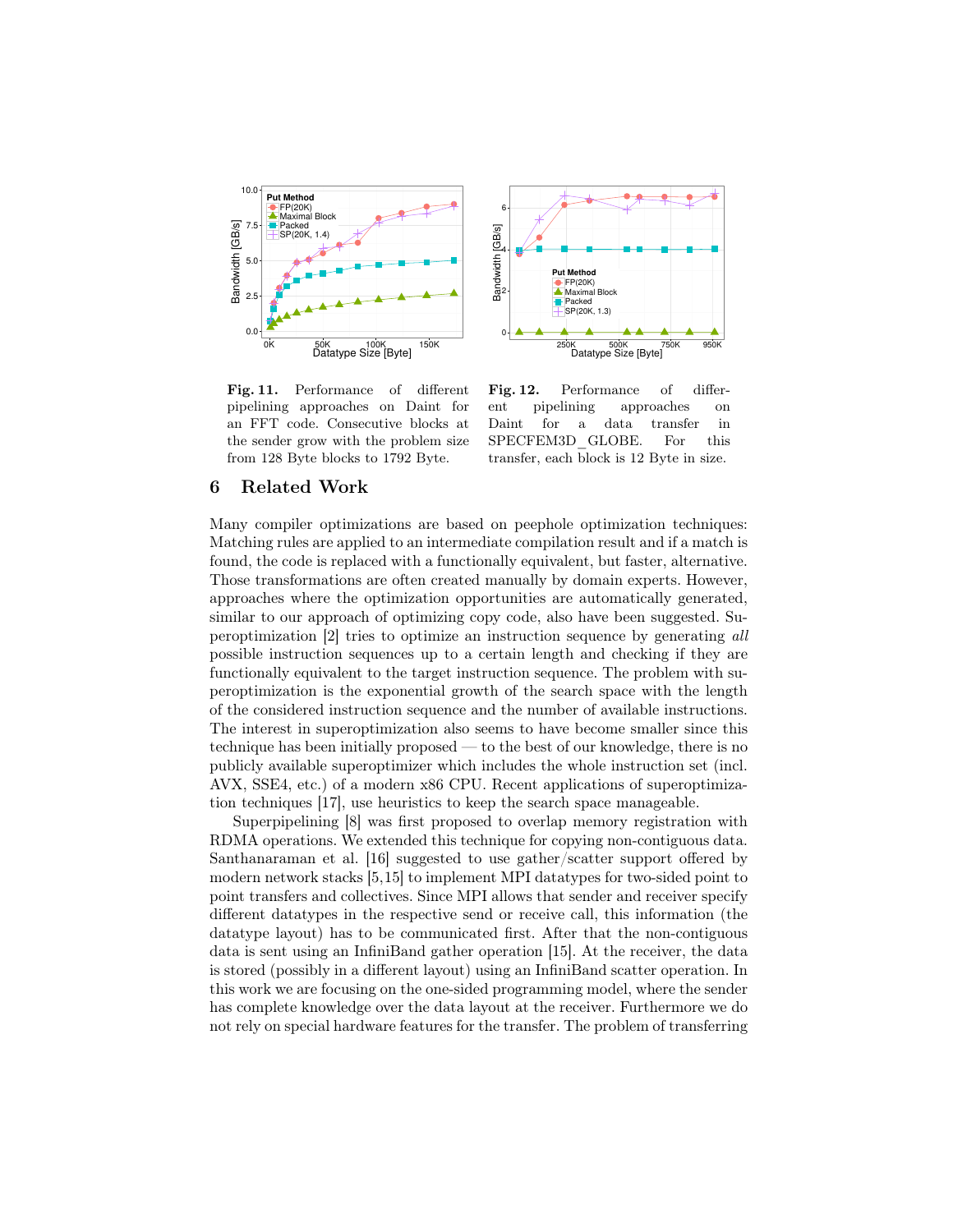



Fig. 11. Performance of different pipelining approaches on Daint for an FFT code. Consecutive blocks at the sender grow with the problem size from 128 Byte blocks to 1792 Byte.

Fig. 12. Performance of different pipelining approaches on Daint for a data transfer in SPECFEM3D GLOBE. For this transfer, each block is 12 Byte in size.

## 6 Related Work

Many compiler optimizations are based on peephole optimization techniques: Matching rules are applied to an intermediate compilation result and if a match is found, the code is replaced with a functionally equivalent, but faster, alternative. Those transformations are often created manually by domain experts. However, approaches where the optimization opportunities are automatically generated, similar to our approach of optimizing copy code, also have been suggested. Superoptimization [2] tries to optimize an instruction sequence by generating all possible instruction sequences up to a certain length and checking if they are functionally equivalent to the target instruction sequence. The problem with superoptimization is the exponential growth of the search space with the length of the considered instruction sequence and the number of available instructions. The interest in superoptimization also seems to have become smaller since this technique has been initially proposed — to the best of our knowledge, there is no publicly available superoptimizer which includes the whole instruction set (incl. AVX, SSE4, etc.) of a modern x86 CPU. Recent applications of superoptimization techniques [17], use heuristics to keep the search space manageable.

Superpipelining [8] was first proposed to overlap memory registration with RDMA operations. We extended this technique for copying non-contiguous data. Santhanaraman et al. [16] suggested to use gather/scatter support offered by modern network stacks [5,15] to implement MPI datatypes for two-sided point to point transfers and collectives. Since MPI allows that sender and receiver specify different datatypes in the respective send or receive call, this information (the datatype layout) has to be communicated first. After that the non-contiguous data is sent using an InfiniBand gather operation [15]. At the receiver, the data is stored (possibly in a different layout) using an InfiniBand scatter operation. In this work we are focusing on the one-sided programming model, where the sender has complete knowledge over the data layout at the receiver. Furthermore we do not rely on special hardware features for the transfer. The problem of transferring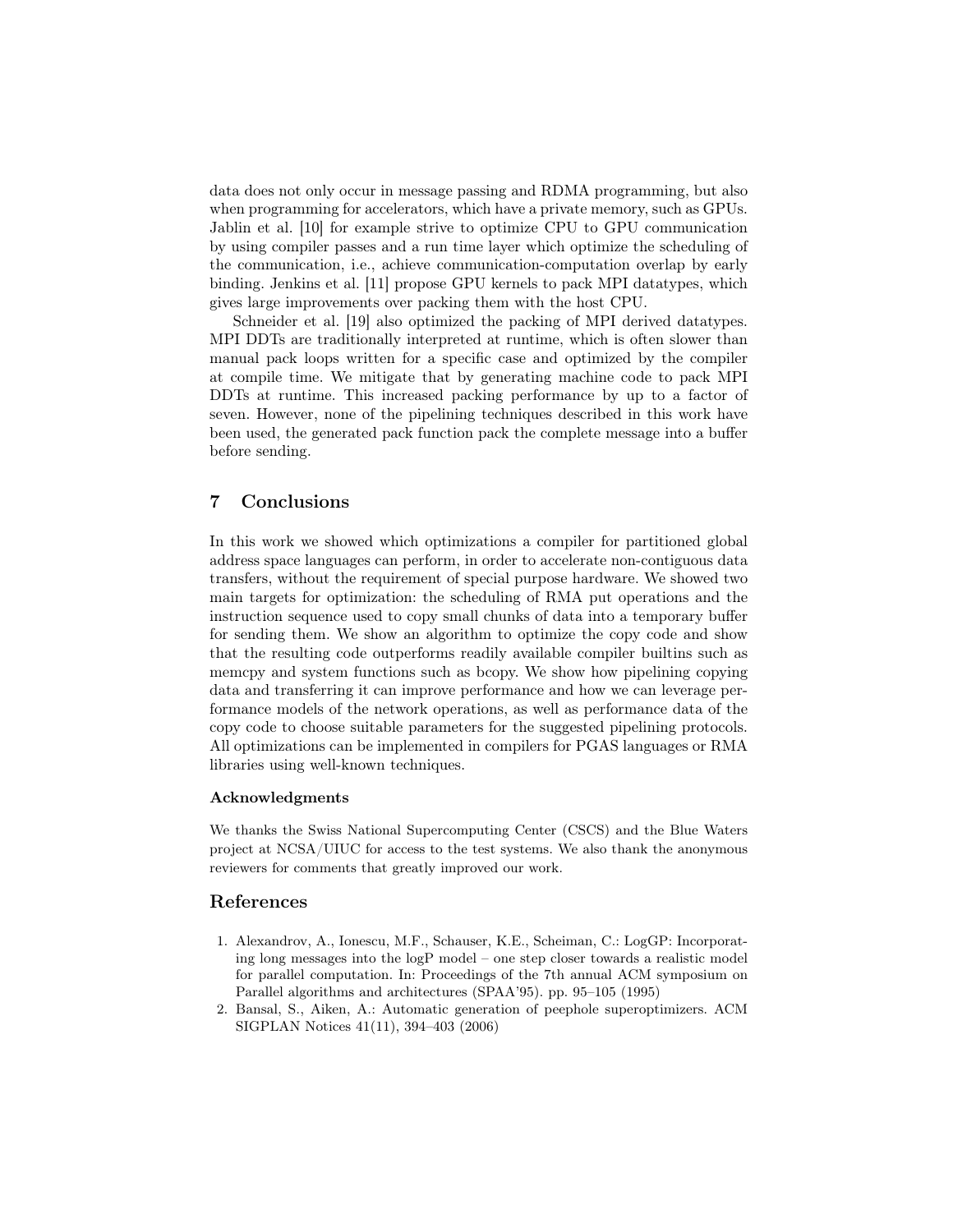data does not only occur in message passing and RDMA programming, but also when programming for accelerators, which have a private memory, such as GPUs. Jablin et al. [10] for example strive to optimize CPU to GPU communication by using compiler passes and a run time layer which optimize the scheduling of the communication, i.e., achieve communication-computation overlap by early binding. Jenkins et al. [11] propose GPU kernels to pack MPI datatypes, which gives large improvements over packing them with the host CPU.

Schneider et al. [19] also optimized the packing of MPI derived datatypes. MPI DDTs are traditionally interpreted at runtime, which is often slower than manual pack loops written for a specific case and optimized by the compiler at compile time. We mitigate that by generating machine code to pack MPI DDTs at runtime. This increased packing performance by up to a factor of seven. However, none of the pipelining techniques described in this work have been used, the generated pack function pack the complete message into a buffer before sending.

## 7 Conclusions

In this work we showed which optimizations a compiler for partitioned global address space languages can perform, in order to accelerate non-contiguous data transfers, without the requirement of special purpose hardware. We showed two main targets for optimization: the scheduling of RMA put operations and the instruction sequence used to copy small chunks of data into a temporary buffer for sending them. We show an algorithm to optimize the copy code and show that the resulting code outperforms readily available compiler builtins such as memcpy and system functions such as bcopy. We show how pipelining copying data and transferring it can improve performance and how we can leverage performance models of the network operations, as well as performance data of the copy code to choose suitable parameters for the suggested pipelining protocols. All optimizations can be implemented in compilers for PGAS languages or RMA libraries using well-known techniques.

#### Acknowledgments

We thanks the Swiss National Supercomputing Center (CSCS) and the Blue Waters project at NCSA/UIUC for access to the test systems. We also thank the anonymous reviewers for comments that greatly improved our work.

#### References

- 1. Alexandrov, A., Ionescu, M.F., Schauser, K.E., Scheiman, C.: LogGP: Incorporating long messages into the logP model – one step closer towards a realistic model for parallel computation. In: Proceedings of the 7th annual ACM symposium on Parallel algorithms and architectures (SPAA'95). pp. 95–105 (1995)
- 2. Bansal, S., Aiken, A.: Automatic generation of peephole superoptimizers. ACM SIGPLAN Notices 41(11), 394–403 (2006)